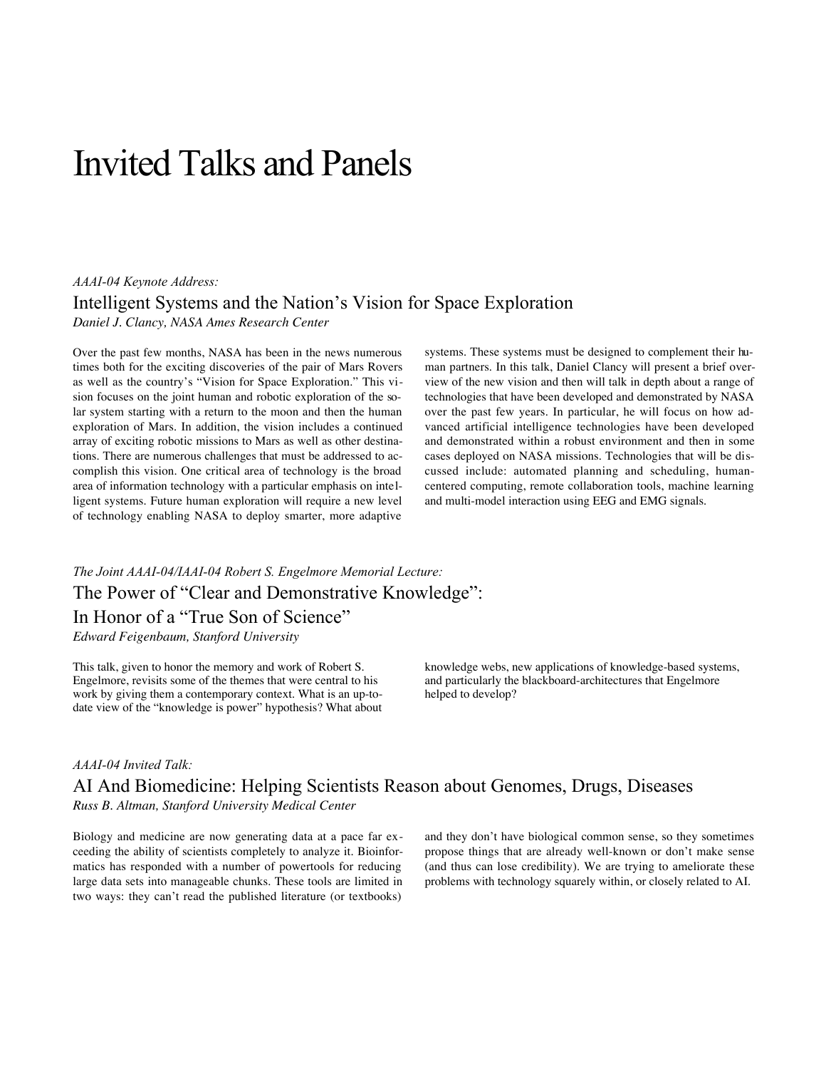# Invited Talks and Panels

## *AAAI-04 Keynote Address:* Intelligent Systems and the Nation's Vision for Space Exploration *Daniel J. Clancy, NASA Ames Research Center*

Over the past few months, NASA has been in the news numerous times both for the exciting discoveries of the pair of Mars Rovers as well as the country's "Vision for Space Exploration." This vision focuses on the joint human and robotic exploration of the solar system starting with a return to the moon and then the human exploration of Mars. In addition, the vision includes a continued array of exciting robotic missions to Mars as well as other destinations. There are numerous challenges that must be addressed to accomplish this vision. One critical area of technology is the broad area of information technology with a particular emphasis on intelligent systems. Future human exploration will require a new level of technology enabling NASA to deploy smarter, more adaptive

systems. These systems must be designed to complement their human partners. In this talk, Daniel Clancy will present a brief overview of the new vision and then will talk in depth about a range of technologies that have been developed and demonstrated by NASA over the past few years. In particular, he will focus on how advanced artificial intelligence technologies have been developed and demonstrated within a robust environment and then in some cases deployed on NASA missions. Technologies that will be discussed include: automated planning and scheduling, humancentered computing, remote collaboration tools, machine learning and multi-model interaction using EEG and EMG signals.

## *The Joint AAAI-04/IAAI-04 Robert S. Engelmore Memorial Lecture:* The Power of "Clear and Demonstrative Knowledge": In Honor of a "True Son of Science" *Edward Feigenbaum, Stanford University*

This talk, given to honor the memory and work of Robert S. Engelmore, revisits some of the themes that were central to his work by giving them a contemporary context. What is an up-todate view of the "knowledge is power" hypothesis? What about knowledge webs, new applications of knowledge-based systems, and particularly the blackboard-architectures that Engelmore helped to develop?

#### *AAAI-04 Invited Talk:*

## AI And Biomedicine: Helping Scientists Reason about Genomes, Drugs, Diseases *Russ B. Altman, Stanford University Medical Center*

Biology and medicine are now generating data at a pace far exceeding the ability of scientists completely to analyze it. Bioinformatics has responded with a number of powertools for reducing large data sets into manageable chunks. These tools are limited in two ways: they can't read the published literature (or textbooks)

and they don't have biological common sense, so they sometimes propose things that are already well-known or don't make sense (and thus can lose credibility). We are trying to ameliorate these problems with technology squarely within, or closely related to AI.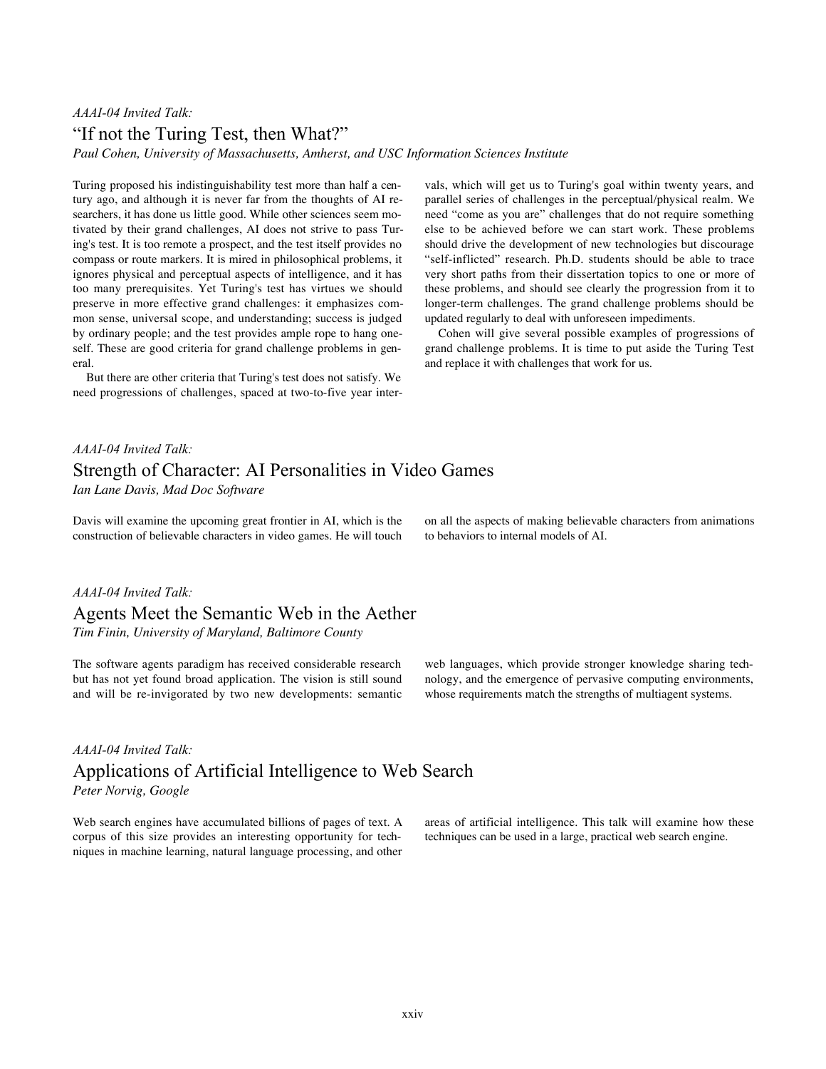## *AAAI-04 Invited Talk:* "If not the Turing Test, then What?"

*Paul Cohen, University of Massachusetts, Amherst, and USC Information Sciences Institute*

Turing proposed his indistinguishability test more than half a century ago, and although it is never far from the thoughts of AI researchers, it has done us little good. While other sciences seem motivated by their grand challenges, AI does not strive to pass Turing's test. It is too remote a prospect, and the test itself provides no compass or route markers. It is mired in philosophical problems, it ignores physical and perceptual aspects of intelligence, and it has too many prerequisites. Yet Turing's test has virtues we should preserve in more effective grand challenges: it emphasizes common sense, universal scope, and understanding; success is judged by ordinary people; and the test provides ample rope to hang oneself. These are good criteria for grand challenge problems in general.

But there are other criteria that Turing's test does not satisfy. We need progressions of challenges, spaced at two-to-five year intervals, which will get us to Turing's goal within twenty years, and parallel series of challenges in the perceptual/physical realm. We need "come as you are" challenges that do not require something else to be achieved before we can start work. These problems should drive the development of new technologies but discourage "self-inflicted" research. Ph.D. students should be able to trace very short paths from their dissertation topics to one or more of these problems, and should see clearly the progression from it to longer-term challenges. The grand challenge problems should be updated regularly to deal with unforeseen impediments.

Cohen will give several possible examples of progressions of grand challenge problems. It is time to put aside the Turing Test and replace it with challenges that work for us.

## *AAAI-04 Invited Talk:* Strength of Character: AI Personalities in Video Games *Ian Lane Davis, Mad Doc Software*

Davis will examine the upcoming great frontier in AI, which is the construction of believable characters in video games. He will touch on all the aspects of making believable characters from animations to behaviors to internal models of AI.

#### *AAAI-04 Invited Talk:*

Agents Meet the Semantic Web in the Aether *Tim Finin, University of Maryland, Baltimore County*

The software agents paradigm has received considerable research but has not yet found broad application. The vision is still sound and will be re-invigorated by two new developments: semantic

#### *AAAI-04 Invited Talk:*

## Applications of Artificial Intelligence to Web Search *Peter Norvig, Google*

Web search engines have accumulated billions of pages of text. A corpus of this size provides an interesting opportunity for techniques in machine learning, natural language processing, and other

web languages, which provide stronger knowledge sharing technology, and the emergence of pervasive computing environments, whose requirements match the strengths of multiagent systems.

areas of artificial intelligence. This talk will examine how these techniques can be used in a large, practical web search engine.